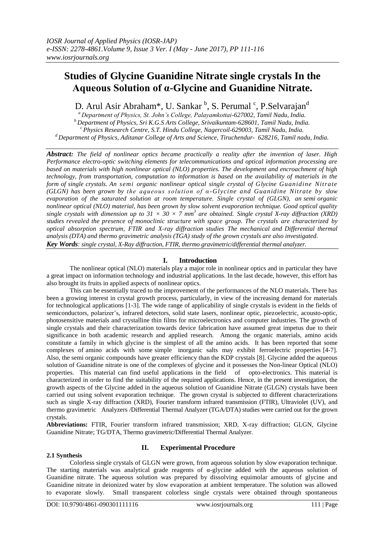# **Studies of Glycine Guanidine Nitrate single crystals In the Aqueous Solution of α-Glycine and Guanidine Nitrate.**

D. Arul Asir Abraham\*, U. Sankar <sup>b</sup>, S. Perumal <sup>c</sup>, P.Selvarajan<sup>d</sup>

*<sup>a</sup>Department of Physics, St. John's College, Palayamkottai-627002, Tamil Nadu, India. <sup>b</sup>Department of Physics, Sri K.G.S Arts College, Srivaikuntam-628601, Tamil Nadu, India. <sup>c</sup>Physics Research Centre, S.T. Hindu College, Nagercoil-629003, Tamil Nadu, India. <sup>d</sup>Department of Physics, Aditanar College of Arts and Science, Tiruchendur- 628216, Tamil nadu, India.*

*Abstract: The field of nonlinear optics became practically a reality after the invention of laser. High Performance electro-optic switching elements for telecommunications and optical information processing are based on materials with high nonlinear optical (NLO) properties. The development and encroachment of high technology, from transportation, computation to information is based on the availability of materials in the form of single crystals. An semi organic nonlinear optical single crystal of Glycine Guanidine Nitrate (GLGN) has been grown by the aqueous solution of α -Glycine and Guanidine Nitrate by slow evaporation of the saturated solution at room temperature. Single crystal of (GLGN), an semi organic nonlinear optical (NLO) material, has been grown by slow solvent evaporation technique. Good optical quality single crystals with dimension up to 31*  $\times$  30  $\times$  7 mm<sup>3</sup> are obtained. Single crystal X-ray diffraction (XRD) *studies revealed the presence of monoclinic structure with space group. The crystals are characterized by optical absorption spectrum, FTIR and X-ray diffraction studies The mechanical and Differential thermal analysis (DTA) and thermo gravimetric analysis (TGA) study of the grown crystals are also investigated. Key Words: single crystal, X-Ray diffraction, FTIR, thermo gravimetric/differential thermal analyzer.*

## **I. Introduction**

The nonlinear optical (NLO) materials play a major role in nonlinear optics and in particular they have a great impact on information technology and industrial applications. In the last decade, however, this effort has also brought its fruits in applied aspects of nonlinear optics.

This can be essentially traced to the improvement of the performances of the NLO materials. There has been a growing interest in crystal growth process, particularly, in view of the increasing demand for materials for technological applications [1-3]. The wide range of applicability of single crystals is evident in the fields of semiconductors, polarizer's, infrared detectors, solid state lasers, nonlinear optic, piezoelectric, acousto-optic, photosensitive materials and crystalline thin films for microelectronics and computer industries. The growth of single crystals and their characterization towards device fabrication have assumed great impetus due to their significance in both academic research and applied research. Among the organic materials, amino acids constitute a family in which glycine is the simplest of all the amino acids. It has been reported that some complexes of amino acids with some simple inorganic salts may exhibit ferroelectric properties [4-7]. Also, the semi organic compounds have greater efficiency than the KDP crystals [8]. Glycine added the aqueous solution of Guanidine nitrate is one of the complexes of glycine and it possesses the Non-linear Optical (NLO) properties. This material can find useful applications in the field of opto-electronics. This material is characterized in order to find the suitability of the required applications. Hence, in the present investigation, the growth aspects of the Glycine added in the aqueous solution of Guanidine Nitrate (GLGN) crystals have been carried out using solvent evaporation technique. The grown crystal is subjected to different characterizations such as single X-ray diffraction (XRD), Fourier transform infrared transmission (FTIR), Ultraviolet (UV), and thermo gravimetric Analyzers /Differential Thermal Analyzer (TGA/DTA) studies were carried out for the grown crystals.

**Abbreviations:** FTIR, Fourier transform infrared transmission; XRD, X-ray diffraction; GLGN, Glycine Guanidine Nitrate; TG/DTA, Thermo gravimetric/Differential Thermal Analyzer.

## **2.1 Synthesis**

## **II. Experimental Procedure**

Colorless single crystals of GLGN were grown, from aqueous solution by slow evaporation technique. The starting materials was analytical grade reagents of  $\alpha$ -glycine added with the aqueous solution of Guanidine nitrate. The aqueous solution was prepared by dissolving equimolar amounts of glycine and Guanidine nitrate in deionized water by slow evaporation at ambient temperature. The solution was allowed to evaporate slowly. Small transparent colorless single crystals were obtained through spontaneous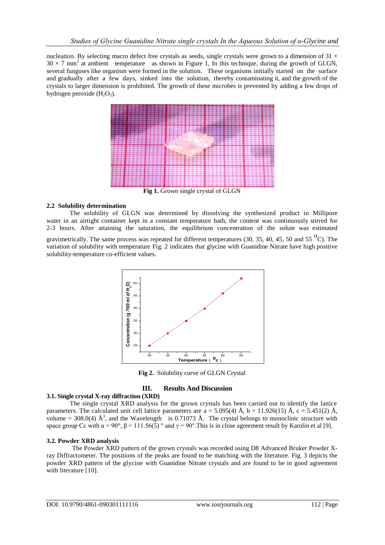nucleation. By selecting macro defect free crystals as seeds, single crystals were grown to a dimension of  $31 \times$  $30 \times 7$  mm<sup>3</sup> at ambient temperature as shown in Figure 1, In this technique, during the growth of GLGN, several funguses like organism were formed in the solution. These organisms initially started on the surface and gradually after a few days, sinked into the solution, thereby contaminating it, and the growth of the crystals to larger dimension is prohibited. The growth of these microbes is prevented by adding a few drops of hydrogen peroxide  $(H_2O_2)$ .



## **2.2 Solubility determination**

The solubility of GLGN was determined by dissolving the synthesized product in Millipore water in an airtight container kept in a constant temperature bath, the content was continuously stirred for 2-3 hours. After attaining the saturation, the equilibrium concentration of the solute was estimated

gravimetrically. The same process was repeated for different temperatures (30, 35, 40, 45, 50 and 55  $^{\circ}$ C). The variation of solubility with temperature Fig. 2 indicates that glycine with Guanidine Nitrate have high positive solubility-temperature co-efficient values.



**Fig 2.** Solubility curve of GLGN Crystal

# **III. Results And Discussion**

## **3.1. Single crystal X-ray diffraction (XRD)**

The single crystal XRD analysis for the grown crystals has been carried out to identify the lattice parameters. The calculated unit cell lattice parameters are  $a = 5.095(4)$  Å,  $b = 11.926(15)$  Å,  $c = 5.451(2)$  Å, volume = 308.0(4)  $\AA^3$ , and the Wavelength is 0.71073 Å. The crystal belongs to monoclinic structure with space group Cc with  $\alpha = 90^{\circ}$ ,  $\beta = 111.56(5)^{\circ}$  and  $\gamma = 90^{\circ}$ . This is in close agreement result by Karolin et al [9].

## **3.2. Powder XRD analysis**

 The Powder XRD pattern of the grown crystals was recorded using D8 Advanced Bruker Powder Xray Diffractometer. The positions of the peaks are found to be matching with the literature. Fig. 3 depicts the powder XRD pattern of the glycine with Guanidine Nitrate crystals and are found to be in good agreement with literature [10].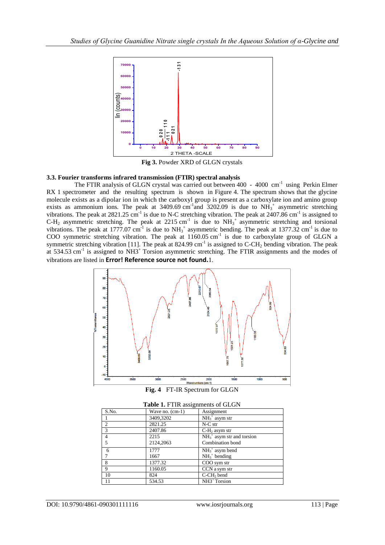

**Fig 3.** Powder XRD of GLGN crystals

#### **3.3. Fourier transforms infrared transmission (FTIR) spectral analysis**

The FTIR analysis of GLGN crystal was carried out between 400 - 4000 cm<sup>-1</sup> using Perkin Elmer RX 1 spectrometer and the resulting spectrum is shown in Figure 4. The spectrum shows that the glycine molecule exists as a dipolar ion in which the carboxyl group is present as a carboxylate ion and amino group exists as ammonium ions. The peak at 3409.69 cm<sup>-1</sup> and 3202.09 is due to  $NH_3^+$  asymmetric stretching vibrations. The peak at  $2821.25 \text{ cm}^{-1}$  is due to N-C stretching vibration. The peak at  $2407.86 \text{ cm}^{-1}$  is assigned to  $C-H_2$  asymmetric stretching. The peak at 2215 cm<sup>-1</sup> is due to  $NH_3^+$  asymmetric stretching and torsional vibrations. The peak at 1777.07 cm<sup>-1</sup> is due to  $NH_3^+$  asymmetric bending. The peak at 1377.32 cm<sup>-1</sup> is due to COO symmetric stretching vibration. The peak at 1160.05 cm<sup>-1</sup> is due to carboxylate group of GLGN a symmetric stretching vibration [11]. The peak at 824.99 cm<sup>-1</sup> is assigned to C-CH<sub>2</sub> bending vibration. The peak at 534.53 cm<sup>-1</sup> is assigned to NH3<sup>+</sup> Torsion asymmetric stretching. The FTIR assignments and the modes of vibrations are listed in **Error! Reference source not found.**1.



**Fig. 4** FT-IR Spectrum for GLGN

| Table 1. FTIR assignments of GLGN |                   |                             |
|-----------------------------------|-------------------|-----------------------------|
| S.No.                             | Wave no. $(cm-1)$ | Assignment                  |
|                                   | 3409,3202         | $NH3+$ asym str             |
| 2                                 | 2821.25           | N-C str                     |
| 3                                 | 2407.86           | $C-H2$ asym str             |
| $\overline{4}$                    | 2215              | $NH3+$ asym str and torsion |
| 5                                 | 2124,2063         | Combination bond            |
| 6                                 | 1777              | $NH3+$ asym bend            |
|                                   | 1667              | $NH3+ bending$              |
| 8                                 | 1377.32           | COO sym str                 |
| 9                                 | 1160.05           | CCN a sym str               |
| 10                                | 824               | $C$ - $CH2$ bend            |
| 11                                | 534.53            | NH3 <sup>+</sup> Torsion    |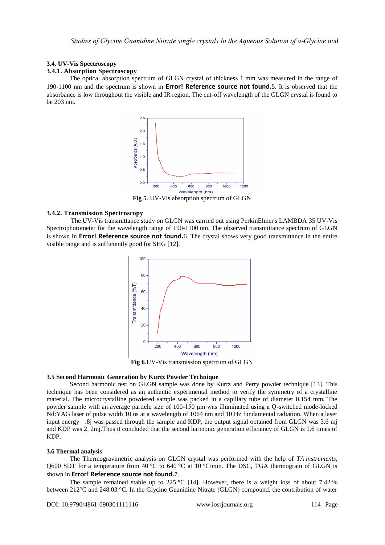# **3.4. UV-Vis Spectroscopy**

## **3.4.1. Absorption Spectroscopy**

The optical absorption spectrum of GLGN crystal of thickness 1 mm was measured in the range of 190-1100 nm and the spectrum is shown in **Error! Reference source not found.**5. It is observed that the absorbance is low throughout the visible and IR region. The cut-off wavelength of the GLGN crystal is found to be 203 nm.



**Fig 5**. UV-Vis absorption spectrum of GLGN

## **3.4.2. Transmission Spectroscopy**

 The UV-Vis transmittance study on GLGN was carried out using PerkinElmer's LAMBDA 35 UV-Vis Spectrophotometer for the wavelength range of 190-1100 nm. The observed transmittance spectrum of GLGN is shown in **Error! Reference source not found.**6. The crystal shows very good transmittance in the entire visible range and is sufficiently good for SHG [12].



**3.5 Second Harmonic Generation by Kurtz Powder Technique**

Second harmonic test on GLGN sample was done by Kurtz and Perry powder technique [13]. This technique has been considered as an authentic experimental method to verify the symmetry of a crystalline material. The microcrystalline powdered sample was packed in a capillary tube of diameter 0.154 mm. The powder sample with an average particle size of 100-150 μm was illuminated using a Q-switched mode-locked Nd:YAG laser of pulse width 10 ns at a wavelength of 1064 nm and 10 Hz fundamental radiation. When a laser input energy .8j was passed through the sample and KDP, the output signal obtained from GLGN was 3.6 mj and KDP was 2. 2mj.Thus it concluded that the second harmonic generation efficiency of GLGN is 1.6 times of KDP.

## **3.6 Thermal analysis**

The Thermogravimetric analysis on GLGN crystal was performed with the help of *TA instruments*, Q600 SDT for a temperature from 40 °C to 640 °C at 10 °C/min. The DSC, TGA thermogram of GLGN is shown in **Error! Reference source not found.**7.

The sample remained stable up to 225 °C [14]. However, there is a weight loss of about 7.42 % between 212°C and 248.03 °C. In the Glycine Guanidine Nitrate (GLGN) compound, the contribution of water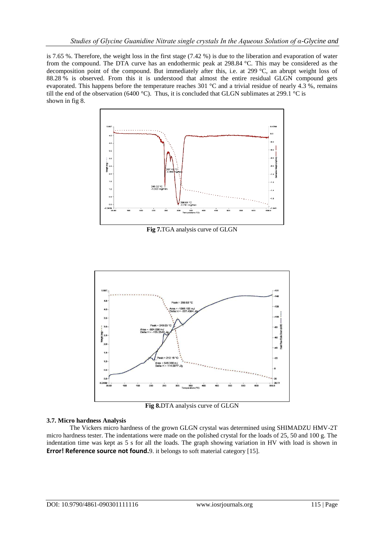is 7.65 %. Therefore, the weight loss in the first stage (7.42 %) is due to the liberation and evaporation of water from the compound. The DTA curve has an endothermic peak at 298.84 °C. This may be considered as the decomposition point of the compound. But immediately after this, i.e. at 299 °C, an abrupt weight loss of 88.28 % is observed. From this it is understood that almost the entire residual GLGN compound gets evaporated. This happens before the temperature reaches 301 °C and a trivial residue of nearly 4.3 %, remains till the end of the observation (6400 °C). Thus, it is concluded that GLGN sublimates at 299.1 °C is shown in fig 8.



**Fig 7.**TGA analysis curve of GLGN



**Fig 8.**DTA analysis curve of GLGN

## **3.7. Micro hardness Analysis**

The Vickers micro hardness of the grown GLGN crystal was determined using SHIMADZU HMV-2T micro hardness tester. The indentations were made on the polished crystal for the loads of 25, 50 and 100 g. The indentation time was kept as 5 s for all the loads. The graph showing variation in HV with load is shown in **Error! Reference source not found.** 9. it belongs to soft material category [15].